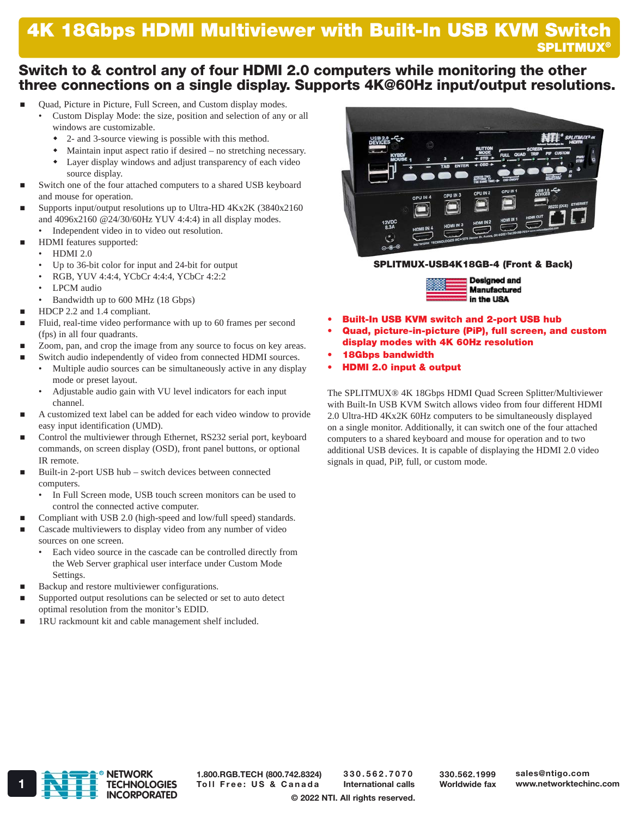# Switch to & control any of four HDMI 2.0 computers while monitoring the other three connections on a single display. Supports 4K@60Hz input/output resolutions.

- Quad, Picture in Picture, Full Screen, and Custom display modes.
	- Custom Display Mode: the size, position and selection of any or all windows are customizable.
		- 2- and 3-source viewing is possible with this method.
		- Maintain input aspect ratio if desired no stretching necessary. Layer display windows and adjust transparency of each video
- source display. Switch one of the four attached computers to a shared USB keyboard and mouse for operation.
- Supports input/output resolutions up to Ultra-HD 4Kx2K (3840x2160 and 4096x2160 @24/30/60Hz YUV 4:4:4) in all display modes.
	- Independent video in to video out resolution.
- HDMI features supported:
	- HDMI 2.0
	- Up to 36-bit color for input and 24-bit for output
	- RGB, YUV 4:4:4, YCbCr 4:4:4, YCbCr 4:2:2
	- LPCM audio
	- Bandwidth up to 600 MHz (18 Gbps)
- HDCP 2.2 and 1.4 compliant.
- Fluid, real-time video performance with up to 60 frames per second (fps) in all four quadrants.
- Zoom, pan, and crop the image from any source to focus on key areas.
	- Switch audio independently of video from connected HDMI sources. • Multiple audio sources can be simultaneously active in any display
		- mode or preset layout. • Adjustable audio gain with VU level indicators for each input channel.
- A customized text label can be added for each video window to provide easy input identification (UMD).
- Control the multiviewer through Ethernet, RS232 serial port, keyboard commands, on screen display (OSD), front panel buttons, or optional IR remote.
- Built-in 2-port USB hub switch devices between connected computers.
	- In Full Screen mode, USB touch screen monitors can be used to control the connected active computer.
- Compliant with USB 2.0 (high-speed and low/full speed) standards.
- Cascade multiviewers to display video from any number of video sources on one screen.
	- Each video source in the cascade can be controlled directly from the Web Server graphical user interface under Custom Mode Settings.
- Backup and restore multiviewer configurations.
- Supported output resolutions can be selected or set to auto detect optimal resolution from the monitor's EDID.
- 1RU rackmount kit and cable management shelf included.



#### SPLITMUX-USB4K18GB-4 (Front & Back)



- Built-In USB KVM switch and 2-port USB hub
- Quad, picture-in-picture (PiP), full screen, and custom display modes with 4K 60Hz resolution
- 18Gbps bandwidth
- HDMI 2.0 input & output

The SPLITMUX® 4K 18Gbps HDMI Quad Screen Splitter/Multiviewer with Built-In USB KVM Switch allows video from four different HDMI 2.0 Ultra-HD 4Kx2K 60Hz computers to be simultaneously displayed on a single monitor. Additionally, it can switch one of the four attached computers to a shared keyboard and mouse for operation and to two additional USB devices. It is capable of displaying the HDMI 2.0 video signals in quad, PiP, full, or custom mode.



1.800.RGB.TECH (800.742.8324)

330.562.7070 International calls 330.562.1999 Worldwide fax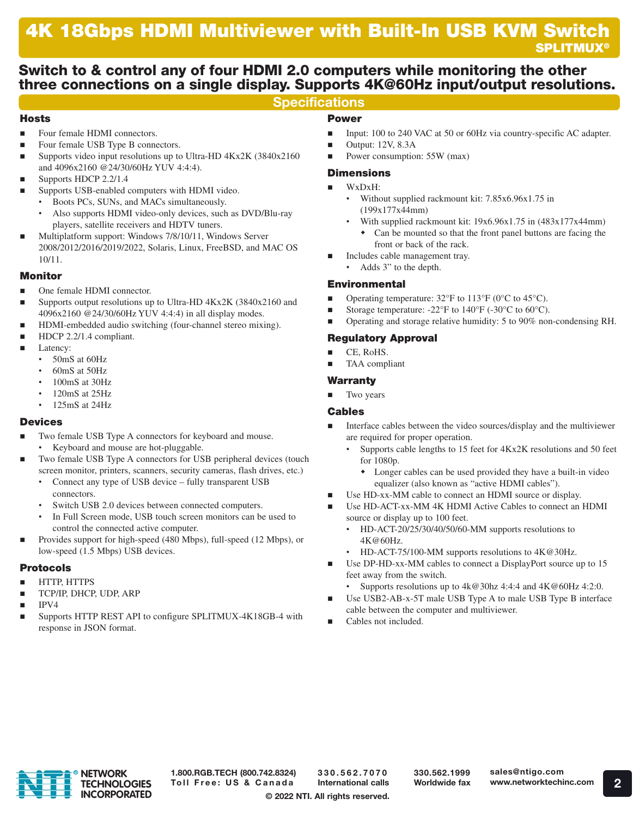# Switch to & control any of four HDMI 2.0 computers while monitoring the other three connections on a single display. Supports 4K@60Hz input/output resolutions.

## **Specifications**

### Hosts

- Four female HDMI connectors.
- Four female USB Type B connectors.
- Supports video input resolutions up to Ultra-HD 4Kx2K (3840x2160 and 4096x2160 @24/30/60Hz YUV 4:4:4).
- Supports HDCP 2.2/1.4
- Supports USB-enabled computers with HDMI video.
	- Boots PCs, SUNs, and MACs simultaneously.
	- Also supports HDMI video-only devices, such as DVD/Blu-ray players, satellite receivers and HDTV tuners.
- Multiplatform support: Windows 7/8/10/11, Windows Server 2008/2012/2016/2019/2022, Solaris, Linux, FreeBSD, and MAC OS 10/11.

### Monitor

- One female HDMI connector.
- Supports output resolutions up to Ultra-HD 4Kx2K (3840x2160 and 4096x2160 @24/30/60Hz YUV 4:4:4) in all display modes.
- HDMI-embedded audio switching (four-channel stereo mixing).
- HDCP 2.2/1.4 compliant.
- **Latency:** 
	- 50mS at 60Hz
	- 60mS at 50Hz
	- 100mS at 30Hz
	- 120mS at 25Hz
	- 125mS at 24Hz

### Devices

- Two female USB Type A connectors for keyboard and mouse.
	- Keyboard and mouse are hot-pluggable.
- Two female USB Type A connectors for USB peripheral devices (touch screen monitor, printers, scanners, security cameras, flash drives, etc.)
	- Connect any type of USB device fully transparent USB connectors.
	- Switch USB 2.0 devices between connected computers.
	- In Full Screen mode, USB touch screen monitors can be used to control the connected active computer.
- Provides support for high-speed (480 Mbps), full-speed (12 Mbps), or low-speed (1.5 Mbps) USB devices.

### Protocols

- HTTP, HTTPS
- TCP/IP, DHCP, UDP, ARP
- IPV4
- Supports HTTP REST API to configure SPLITMUX-4K18GB-4 with response in JSON format.

## Power

- Input: 100 to 240 VAC at 50 or 60Hz via country-specific AC adapter.
- $\blacksquare$  Output: 12V, 8.3A
- Power consumption: 55W (max)

## **Dimensions**

#### WxDxH:

- Without supplied rackmount kit: 7.85x6.96x1.75 in (199x177x44mm)
- With supplied rackmount kit: 19x6.96x1.75 in (483x177x44mm) • Can be mounted so that the front panel buttons are facing the front or back of the rack.
- Includes cable management tray.
- Adds 3" to the depth.

### Environmental

- Operating temperature:  $32^{\circ}$ F to  $113^{\circ}$ F (0 $^{\circ}$ C to  $45^{\circ}$ C).
- Storage temperature: -22°F to 140°F (-30°C to 60°C).
- Operating and storage relative humidity: 5 to 90% non-condensing RH.

## Regulatory Approval

- $CE$ , RoHS.
- TAA compliant

### Warranty

Two years

### Cables

- Interface cables between the video sources/display and the multiviewer are required for proper operation.
	- Supports cable lengths to 15 feet for 4Kx2K resolutions and 50 feet for 1080p.
		- Longer cables can be used provided they have a built-in video equalizer (also known as "active HDMI cables").
- Use HD-xx-MM cable to connect an HDMI source or display.
- Use HD-ACT-xx-MM 4K HDMI Active Cables to connect an HDMI source or display up to 100 feet.
	- HD-ACT-20/25/30/40/50/60-MM supports resolutions to 4K@60Hz.
	- HD-ACT-75/100-MM supports resolutions to 4K@30Hz.
- Use DP-HD-xx-MM cables to connect a DisplayPort source up to 15 feet away from the switch.
	- Supports resolutions up to  $4k@30hz 4:4:4$  and  $4K@60Hz 4:2:0$ .
- Use USB2-AB-x-5T male USB Type A to male USB Type B interface cable between the computer and multiviewer.
- Cables not included.



1.800.RGB.TECH (800.742.8324) Toll Free: US & Canada

330.562.7070 International calls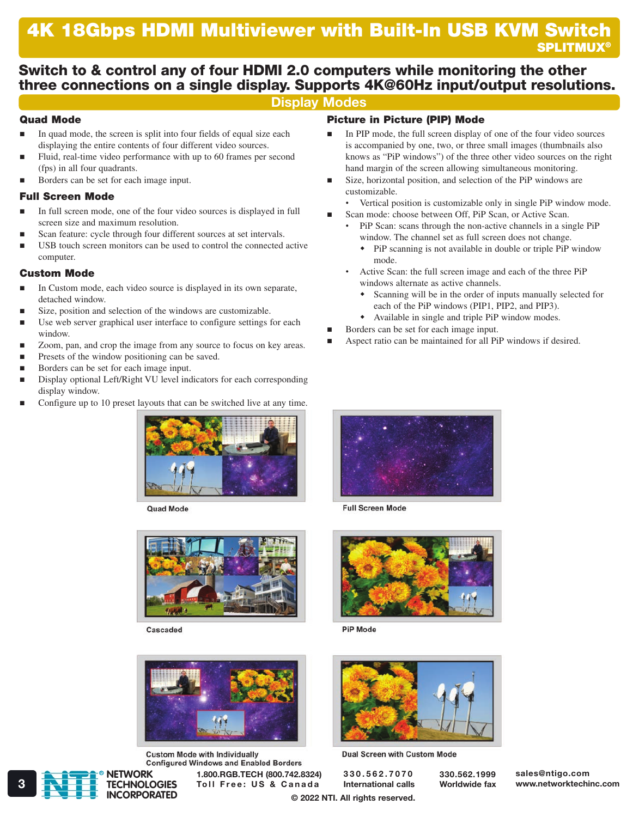# Switch to & control any of four HDMI 2.0 computers while monitoring the other three connections on a single display. Supports 4K@60Hz input/output resolutions.

## Display Modes

### Quad Mode

- $\blacksquare$  In quad mode, the screen is split into four fields of equal size each displaying the entire contents of four different video sources.
- Fluid, real-time video performance with up to 60 frames per second (fps) in all four quadrants.
- Borders can be set for each image input.

### Full Screen Mode

- In full screen mode, one of the four video sources is displayed in full screen size and maximum resolution.
- Scan feature: cycle through four different sources at set intervals.
- USB touch screen monitors can be used to control the connected active computer.

### Custom Mode

- In Custom mode, each video source is displayed in its own separate, detached window.
- Size, position and selection of the windows are customizable.
- Use web server graphical user interface to configure settings for each window.
- Zoom, pan, and crop the image from any source to focus on key areas.
- Presets of the window positioning can be saved.
- Borders can be set for each image input.
- Display optional Left/Right VU level indicators for each corresponding display window.
- Configure up to 10 preset layouts that can be switched live at any time.



**Quad Mode** 



Cascaded



**Custom Mode with Individually Configured Windows and Enabled Borders** 

1.800.RGB.TECH (800.742.8324) 3 **Toll Free: US & Canada** International calls Worldwide fax www.networktechinc.com

### Picture in Picture (PIP) Mode

- In PIP mode, the full screen display of one of the four video sources is accompanied by one, two, or three small images (thumbnails also knows as "PiP windows") of the three other video sources on the right hand margin of the screen allowing simultaneous monitoring.
- Size, horizontal position, and selection of the PiP windows are customizable.
- Vertical position is customizable only in single PiP window mode.
- Scan mode: choose between Off, PiP Scan, or Active Scan.
	- PiP Scan: scans through the non-active channels in a single PiP window. The channel set as full screen does not change.
		- PiP scanning is not available in double or triple PiP window mode.
	- Active Scan: the full screen image and each of the three PiP windows alternate as active channels.
		- Scanning will be in the order of inputs manually selected for each of the PiP windows (PIP1, PIP2, and PIP3).
		- Available in single and triple PiP window modes.
- Borders can be set for each image input.
- Aspect ratio can be maintained for all PiP windows if desired.



**Full Screen Mode** 



PiP Mode



Dual Screen with Custom Mode

330.562.7070 International calls

© 2022 NTI. All rights reserved.

R

**NETWORK TECHNOLOGIES INCORPORATED**